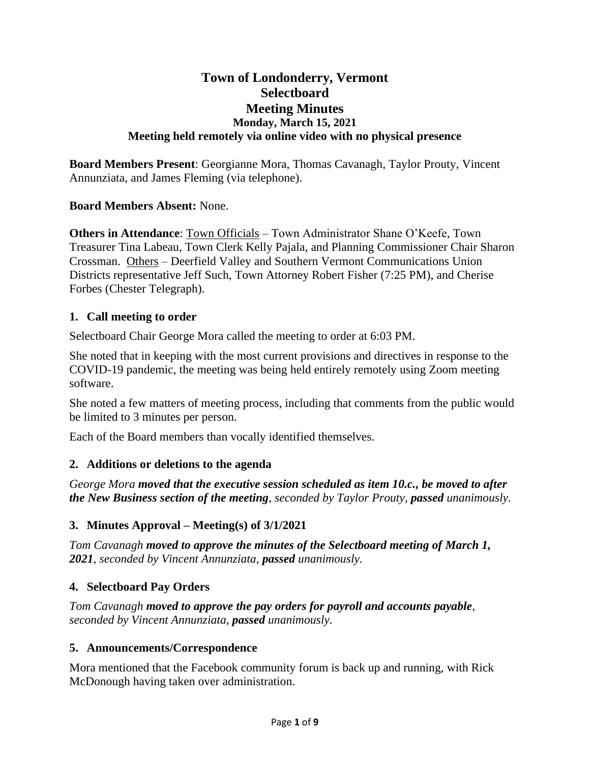# **Town of Londonderry, Vermont Selectboard Meeting Minutes Monday, March 15, 2021 Meeting held remotely via online video with no physical presence**

**Board Members Present**: Georgianne Mora, Thomas Cavanagh, Taylor Prouty, Vincent Annunziata, and James Fleming (via telephone).

### **Board Members Absent:** None.

**Others in Attendance**: Town Officials – Town Administrator Shane O'Keefe, Town Treasurer Tina Labeau, Town Clerk Kelly Pajala, and Planning Commissioner Chair Sharon Crossman. Others – Deerfield Valley and Southern Vermont Communications Union Districts representative Jeff Such, Town Attorney Robert Fisher (7:25 PM), and Cherise Forbes (Chester Telegraph).

### **1. Call meeting to order**

Selectboard Chair George Mora called the meeting to order at 6:03 PM.

She noted that in keeping with the most current provisions and directives in response to the COVID-19 pandemic, the meeting was being held entirely remotely using Zoom meeting software.

She noted a few matters of meeting process, including that comments from the public would be limited to 3 minutes per person.

Each of the Board members than vocally identified themselves.

## **2. Additions or deletions to the agenda**

*George Mora moved that the executive session scheduled as item 10.c., be moved to after the New Business section of the meeting, seconded by Taylor Prouty, passed unanimously.*

## **3. Minutes Approval – Meeting(s) of 3/1/2021**

*Tom Cavanagh moved to approve the minutes of the Selectboard meeting of March 1, 2021, seconded by Vincent Annunziata, passed unanimously.*

## **4. Selectboard Pay Orders**

*Tom Cavanagh moved to approve the pay orders for payroll and accounts payable, seconded by Vincent Annunziata, passed unanimously.*

#### **5. Announcements/Correspondence**

Mora mentioned that the Facebook community forum is back up and running, with Rick McDonough having taken over administration.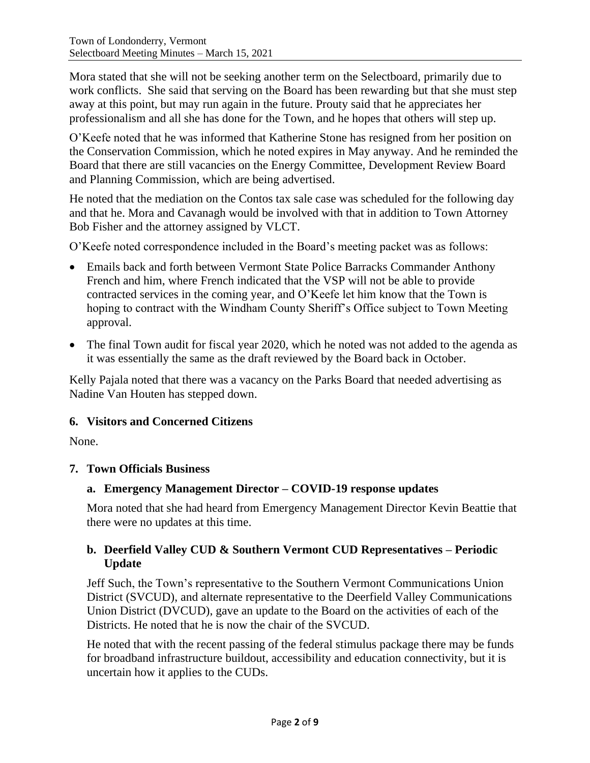Mora stated that she will not be seeking another term on the Selectboard, primarily due to work conflicts. She said that serving on the Board has been rewarding but that she must step away at this point, but may run again in the future. Prouty said that he appreciates her professionalism and all she has done for the Town, and he hopes that others will step up.

O'Keefe noted that he was informed that Katherine Stone has resigned from her position on the Conservation Commission, which he noted expires in May anyway. And he reminded the Board that there are still vacancies on the Energy Committee, Development Review Board and Planning Commission, which are being advertised.

He noted that the mediation on the Contos tax sale case was scheduled for the following day and that he. Mora and Cavanagh would be involved with that in addition to Town Attorney Bob Fisher and the attorney assigned by VLCT.

O'Keefe noted correspondence included in the Board's meeting packet was as follows:

- Emails back and forth between Vermont State Police Barracks Commander Anthony French and him, where French indicated that the VSP will not be able to provide contracted services in the coming year, and O'Keefe let him know that the Town is hoping to contract with the Windham County Sheriff's Office subject to Town Meeting approval.
- The final Town audit for fiscal year 2020, which he noted was not added to the agenda as it was essentially the same as the draft reviewed by the Board back in October.

Kelly Pajala noted that there was a vacancy on the Parks Board that needed advertising as Nadine Van Houten has stepped down.

## **6. Visitors and Concerned Citizens**

None.

## **7. Town Officials Business**

## **a. Emergency Management Director – COVID-19 response updates**

Mora noted that she had heard from Emergency Management Director Kevin Beattie that there were no updates at this time.

### **b. Deerfield Valley CUD & Southern Vermont CUD Representatives – Periodic Update**

Jeff Such, the Town's representative to the Southern Vermont Communications Union District (SVCUD), and alternate representative to the Deerfield Valley Communications Union District (DVCUD), gave an update to the Board on the activities of each of the Districts. He noted that he is now the chair of the SVCUD.

He noted that with the recent passing of the federal stimulus package there may be funds for broadband infrastructure buildout, accessibility and education connectivity, but it is uncertain how it applies to the CUDs.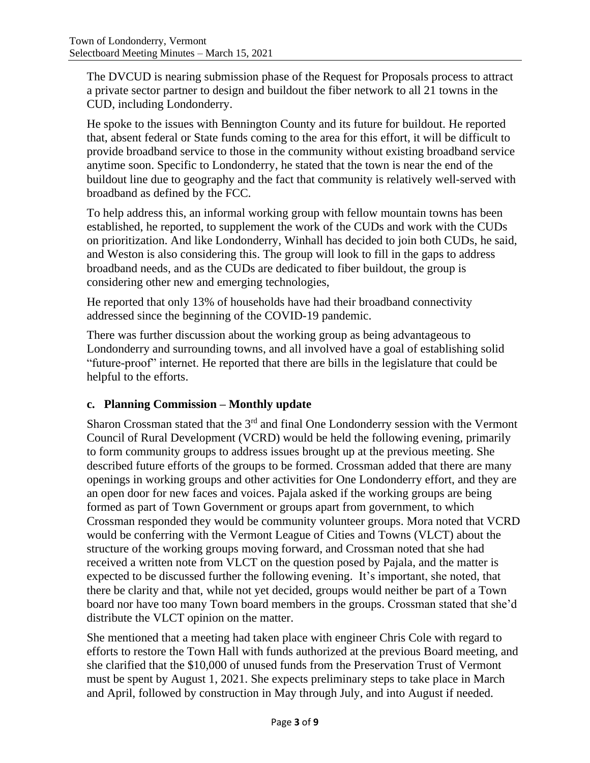The DVCUD is nearing submission phase of the Request for Proposals process to attract a private sector partner to design and buildout the fiber network to all 21 towns in the CUD, including Londonderry.

He spoke to the issues with Bennington County and its future for buildout. He reported that, absent federal or State funds coming to the area for this effort, it will be difficult to provide broadband service to those in the community without existing broadband service anytime soon. Specific to Londonderry, he stated that the town is near the end of the buildout line due to geography and the fact that community is relatively well-served with broadband as defined by the FCC.

To help address this, an informal working group with fellow mountain towns has been established, he reported, to supplement the work of the CUDs and work with the CUDs on prioritization. And like Londonderry, Winhall has decided to join both CUDs, he said, and Weston is also considering this. The group will look to fill in the gaps to address broadband needs, and as the CUDs are dedicated to fiber buildout, the group is considering other new and emerging technologies,

He reported that only 13% of households have had their broadband connectivity addressed since the beginning of the COVID-19 pandemic.

There was further discussion about the working group as being advantageous to Londonderry and surrounding towns, and all involved have a goal of establishing solid "future-proof" internet. He reported that there are bills in the legislature that could be helpful to the efforts.

## **c. Planning Commission – Monthly update**

Sharon Crossman stated that the  $3<sup>rd</sup>$  and final One Londonderry session with the Vermont Council of Rural Development (VCRD) would be held the following evening, primarily to form community groups to address issues brought up at the previous meeting. She described future efforts of the groups to be formed. Crossman added that there are many openings in working groups and other activities for One Londonderry effort, and they are an open door for new faces and voices. Pajala asked if the working groups are being formed as part of Town Government or groups apart from government, to which Crossman responded they would be community volunteer groups. Mora noted that VCRD would be conferring with the Vermont League of Cities and Towns (VLCT) about the structure of the working groups moving forward, and Crossman noted that she had received a written note from VLCT on the question posed by Pajala, and the matter is expected to be discussed further the following evening. It's important, she noted, that there be clarity and that, while not yet decided, groups would neither be part of a Town board nor have too many Town board members in the groups. Crossman stated that she'd distribute the VLCT opinion on the matter.

She mentioned that a meeting had taken place with engineer Chris Cole with regard to efforts to restore the Town Hall with funds authorized at the previous Board meeting, and she clarified that the \$10,000 of unused funds from the Preservation Trust of Vermont must be spent by August 1, 2021. She expects preliminary steps to take place in March and April, followed by construction in May through July, and into August if needed.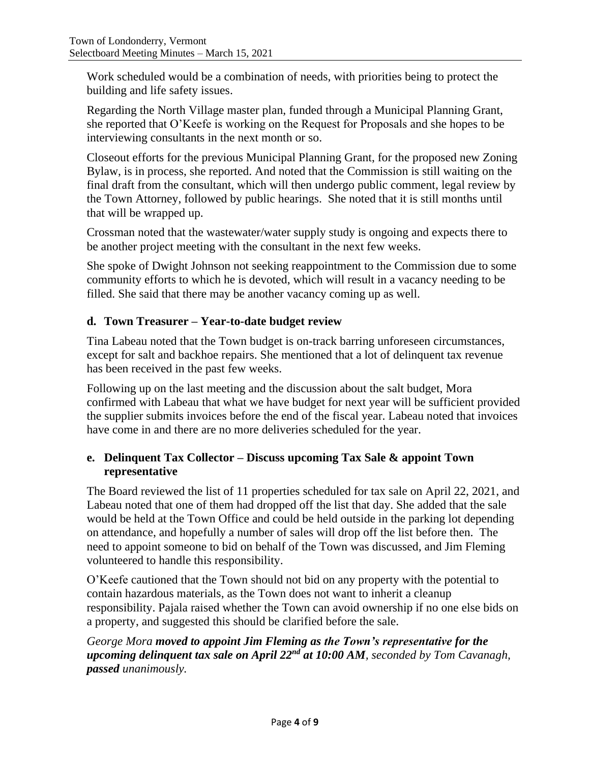Work scheduled would be a combination of needs, with priorities being to protect the building and life safety issues.

Regarding the North Village master plan, funded through a Municipal Planning Grant, she reported that O'Keefe is working on the Request for Proposals and she hopes to be interviewing consultants in the next month or so.

Closeout efforts for the previous Municipal Planning Grant, for the proposed new Zoning Bylaw, is in process, she reported. And noted that the Commission is still waiting on the final draft from the consultant, which will then undergo public comment, legal review by the Town Attorney, followed by public hearings. She noted that it is still months until that will be wrapped up.

Crossman noted that the wastewater/water supply study is ongoing and expects there to be another project meeting with the consultant in the next few weeks.

She spoke of Dwight Johnson not seeking reappointment to the Commission due to some community efforts to which he is devoted, which will result in a vacancy needing to be filled. She said that there may be another vacancy coming up as well.

# **d. Town Treasurer – Year-to-date budget review**

Tina Labeau noted that the Town budget is on-track barring unforeseen circumstances, except for salt and backhoe repairs. She mentioned that a lot of delinquent tax revenue has been received in the past few weeks.

Following up on the last meeting and the discussion about the salt budget, Mora confirmed with Labeau that what we have budget for next year will be sufficient provided the supplier submits invoices before the end of the fiscal year. Labeau noted that invoices have come in and there are no more deliveries scheduled for the year.

## **e. Delinquent Tax Collector – Discuss upcoming Tax Sale & appoint Town representative**

The Board reviewed the list of 11 properties scheduled for tax sale on April 22, 2021, and Labeau noted that one of them had dropped off the list that day. She added that the sale would be held at the Town Office and could be held outside in the parking lot depending on attendance, and hopefully a number of sales will drop off the list before then. The need to appoint someone to bid on behalf of the Town was discussed, and Jim Fleming volunteered to handle this responsibility.

O'Keefe cautioned that the Town should not bid on any property with the potential to contain hazardous materials, as the Town does not want to inherit a cleanup responsibility. Pajala raised whether the Town can avoid ownership if no one else bids on a property, and suggested this should be clarified before the sale.

## *George Mora moved to appoint Jim Fleming as the Town's representative for the upcoming delinquent tax sale on April 22nd at 10:00 AM, seconded by Tom Cavanagh, passed unanimously.*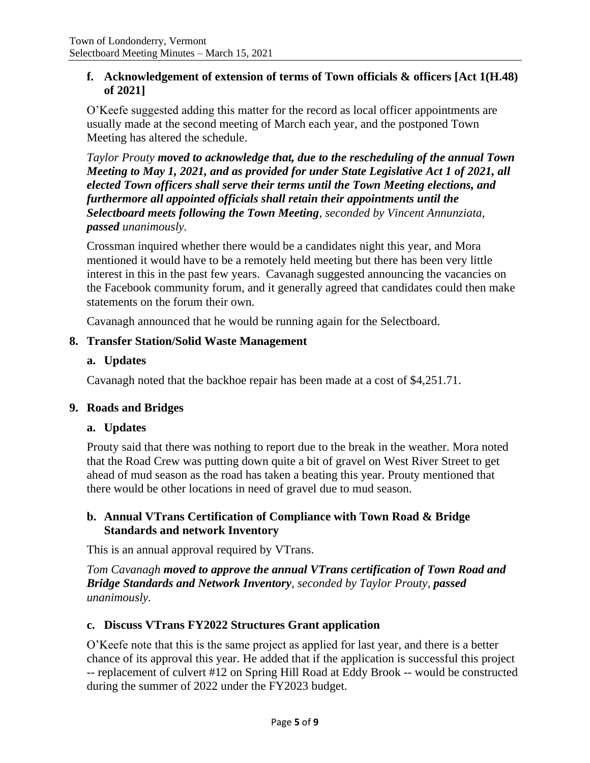### **f. Acknowledgement of extension of terms of Town officials & officers [Act 1(H.48) of 2021]**

O'Keefe suggested adding this matter for the record as local officer appointments are usually made at the second meeting of March each year, and the postponed Town Meeting has altered the schedule.

*Taylor Prouty moved to acknowledge that, due to the rescheduling of the annual Town Meeting to May 1, 2021, and as provided for under State Legislative Act 1 of 2021, all elected Town officers shall serve their terms until the Town Meeting elections, and furthermore all appointed officials shall retain their appointments until the Selectboard meets following the Town Meeting, seconded by Vincent Annunziata, passed unanimously.*

Crossman inquired whether there would be a candidates night this year, and Mora mentioned it would have to be a remotely held meeting but there has been very little interest in this in the past few years. Cavanagh suggested announcing the vacancies on the Facebook community forum, and it generally agreed that candidates could then make statements on the forum their own.

Cavanagh announced that he would be running again for the Selectboard.

### **8. Transfer Station/Solid Waste Management**

#### **a. Updates**

Cavanagh noted that the backhoe repair has been made at a cost of \$4,251.71.

#### **9. Roads and Bridges**

#### **a. Updates**

Prouty said that there was nothing to report due to the break in the weather. Mora noted that the Road Crew was putting down quite a bit of gravel on West River Street to get ahead of mud season as the road has taken a beating this year. Prouty mentioned that there would be other locations in need of gravel due to mud season.

### **b. Annual VTrans Certification of Compliance with Town Road & Bridge Standards and network Inventory**

This is an annual approval required by VTrans.

*Tom Cavanagh moved to approve the annual VTrans certification of Town Road and Bridge Standards and Network Inventory, seconded by Taylor Prouty, passed unanimously.*

## **c. Discuss VTrans FY2022 Structures Grant application**

O'Keefe note that this is the same project as applied for last year, and there is a better chance of its approval this year. He added that if the application is successful this project -- replacement of culvert #12 on Spring Hill Road at Eddy Brook -- would be constructed during the summer of 2022 under the FY2023 budget.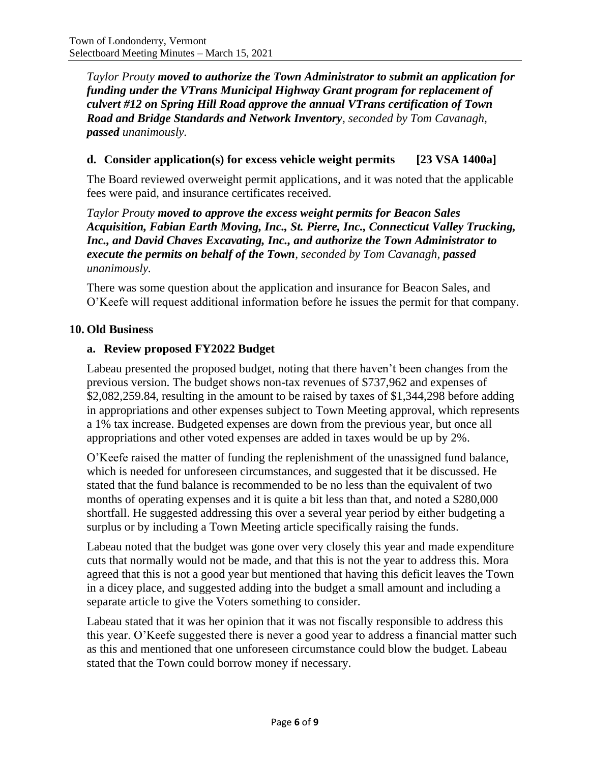*Taylor Prouty moved to authorize the Town Administrator to submit an application for funding under the VTrans Municipal Highway Grant program for replacement of culvert #12 on Spring Hill Road approve the annual VTrans certification of Town Road and Bridge Standards and Network Inventory, seconded by Tom Cavanagh, passed unanimously.*

## **d. Consider application(s) for excess vehicle weight permits [23 VSA 1400a]**

The Board reviewed overweight permit applications, and it was noted that the applicable fees were paid, and insurance certificates received.

*Taylor Prouty moved to approve the excess weight permits for Beacon Sales Acquisition, Fabian Earth Moving, Inc., St. Pierre, Inc., Connecticut Valley Trucking, Inc., and David Chaves Excavating, Inc., and authorize the Town Administrator to execute the permits on behalf of the Town, seconded by Tom Cavanagh, passed unanimously.*

There was some question about the application and insurance for Beacon Sales, and O'Keefe will request additional information before he issues the permit for that company.

### **10. Old Business**

## **a. Review proposed FY2022 Budget**

Labeau presented the proposed budget, noting that there haven't been changes from the previous version. The budget shows non-tax revenues of \$737,962 and expenses of \$2,082,259.84, resulting in the amount to be raised by taxes of \$1,344,298 before adding in appropriations and other expenses subject to Town Meeting approval, which represents a 1% tax increase. Budgeted expenses are down from the previous year, but once all appropriations and other voted expenses are added in taxes would be up by 2%.

O'Keefe raised the matter of funding the replenishment of the unassigned fund balance, which is needed for unforeseen circumstances, and suggested that it be discussed. He stated that the fund balance is recommended to be no less than the equivalent of two months of operating expenses and it is quite a bit less than that, and noted a \$280,000 shortfall. He suggested addressing this over a several year period by either budgeting a surplus or by including a Town Meeting article specifically raising the funds.

Labeau noted that the budget was gone over very closely this year and made expenditure cuts that normally would not be made, and that this is not the year to address this. Mora agreed that this is not a good year but mentioned that having this deficit leaves the Town in a dicey place, and suggested adding into the budget a small amount and including a separate article to give the Voters something to consider.

Labeau stated that it was her opinion that it was not fiscally responsible to address this this year. O'Keefe suggested there is never a good year to address a financial matter such as this and mentioned that one unforeseen circumstance could blow the budget. Labeau stated that the Town could borrow money if necessary.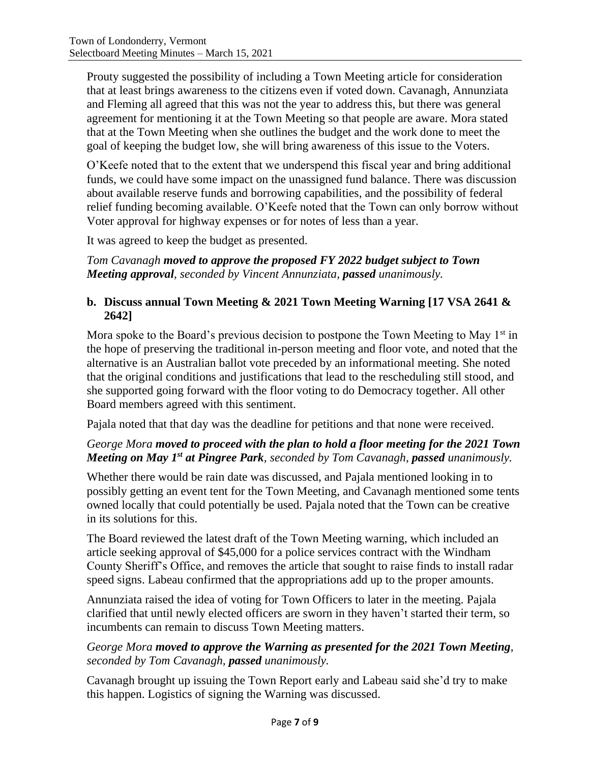Prouty suggested the possibility of including a Town Meeting article for consideration that at least brings awareness to the citizens even if voted down. Cavanagh, Annunziata and Fleming all agreed that this was not the year to address this, but there was general agreement for mentioning it at the Town Meeting so that people are aware. Mora stated that at the Town Meeting when she outlines the budget and the work done to meet the goal of keeping the budget low, she will bring awareness of this issue to the Voters.

O'Keefe noted that to the extent that we underspend this fiscal year and bring additional funds, we could have some impact on the unassigned fund balance. There was discussion about available reserve funds and borrowing capabilities, and the possibility of federal relief funding becoming available. O'Keefe noted that the Town can only borrow without Voter approval for highway expenses or for notes of less than a year.

It was agreed to keep the budget as presented.

*Tom Cavanagh moved to approve the proposed FY 2022 budget subject to Town Meeting approval, seconded by Vincent Annunziata, passed unanimously.*

## **b. Discuss annual Town Meeting & 2021 Town Meeting Warning [17 VSA 2641 & 2642]**

Mora spoke to the Board's previous decision to postpone the Town Meeting to May  $1<sup>st</sup>$  in the hope of preserving the traditional in-person meeting and floor vote, and noted that the alternative is an Australian ballot vote preceded by an informational meeting. She noted that the original conditions and justifications that lead to the rescheduling still stood, and she supported going forward with the floor voting to do Democracy together. All other Board members agreed with this sentiment.

Pajala noted that that day was the deadline for petitions and that none were received.

# *George Mora moved to proceed with the plan to hold a floor meeting for the 2021 Town Meeting on May 1st at Pingree Park, seconded by Tom Cavanagh, passed unanimously.*

Whether there would be rain date was discussed, and Pajala mentioned looking in to possibly getting an event tent for the Town Meeting, and Cavanagh mentioned some tents owned locally that could potentially be used. Pajala noted that the Town can be creative in its solutions for this.

The Board reviewed the latest draft of the Town Meeting warning, which included an article seeking approval of \$45,000 for a police services contract with the Windham County Sheriff's Office, and removes the article that sought to raise finds to install radar speed signs. Labeau confirmed that the appropriations add up to the proper amounts.

Annunziata raised the idea of voting for Town Officers to later in the meeting. Pajala clarified that until newly elected officers are sworn in they haven't started their term, so incumbents can remain to discuss Town Meeting matters.

*George Mora moved to approve the Warning as presented for the 2021 Town Meeting, seconded by Tom Cavanagh, passed unanimously.*

Cavanagh brought up issuing the Town Report early and Labeau said she'd try to make this happen. Logistics of signing the Warning was discussed.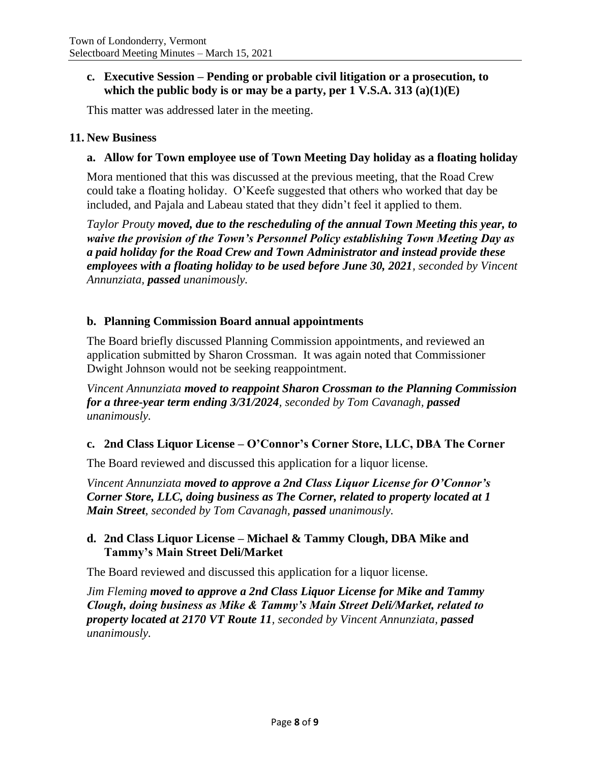### **c. Executive Session – Pending or probable civil litigation or a prosecution, to which the public body is or may be a party, per 1 V.S.A. 313 (a)(1)(E)**

This matter was addressed later in the meeting.

### **11. New Business**

### **a. Allow for Town employee use of Town Meeting Day holiday as a floating holiday**

Mora mentioned that this was discussed at the previous meeting, that the Road Crew could take a floating holiday. O'Keefe suggested that others who worked that day be included, and Pajala and Labeau stated that they didn't feel it applied to them.

*Taylor Prouty moved, due to the rescheduling of the annual Town Meeting this year, to waive the provision of the Town's Personnel Policy establishing Town Meeting Day as a paid holiday for the Road Crew and Town Administrator and instead provide these employees with a floating holiday to be used before June 30, 2021, seconded by Vincent Annunziata, passed unanimously.*

### **b. Planning Commission Board annual appointments**

The Board briefly discussed Planning Commission appointments, and reviewed an application submitted by Sharon Crossman. It was again noted that Commissioner Dwight Johnson would not be seeking reappointment.

*Vincent Annunziata moved to reappoint Sharon Crossman to the Planning Commission for a three-year term ending 3/31/2024, seconded by Tom Cavanagh, passed unanimously.*

## **c. 2nd Class Liquor License – O'Connor's Corner Store, LLC, DBA The Corner**

The Board reviewed and discussed this application for a liquor license.

*Vincent Annunziata moved to approve a 2nd Class Liquor License for O'Connor's Corner Store, LLC, doing business as The Corner, related to property located at 1 Main Street, seconded by Tom Cavanagh, passed unanimously.*

### **d. 2nd Class Liquor License – Michael & Tammy Clough, DBA Mike and Tammy's Main Street Deli/Market**

The Board reviewed and discussed this application for a liquor license.

*Jim Fleming moved to approve a 2nd Class Liquor License for Mike and Tammy Clough, doing business as Mike & Tammy's Main Street Deli/Market, related to property located at 2170 VT Route 11, seconded by Vincent Annunziata, passed unanimously.*